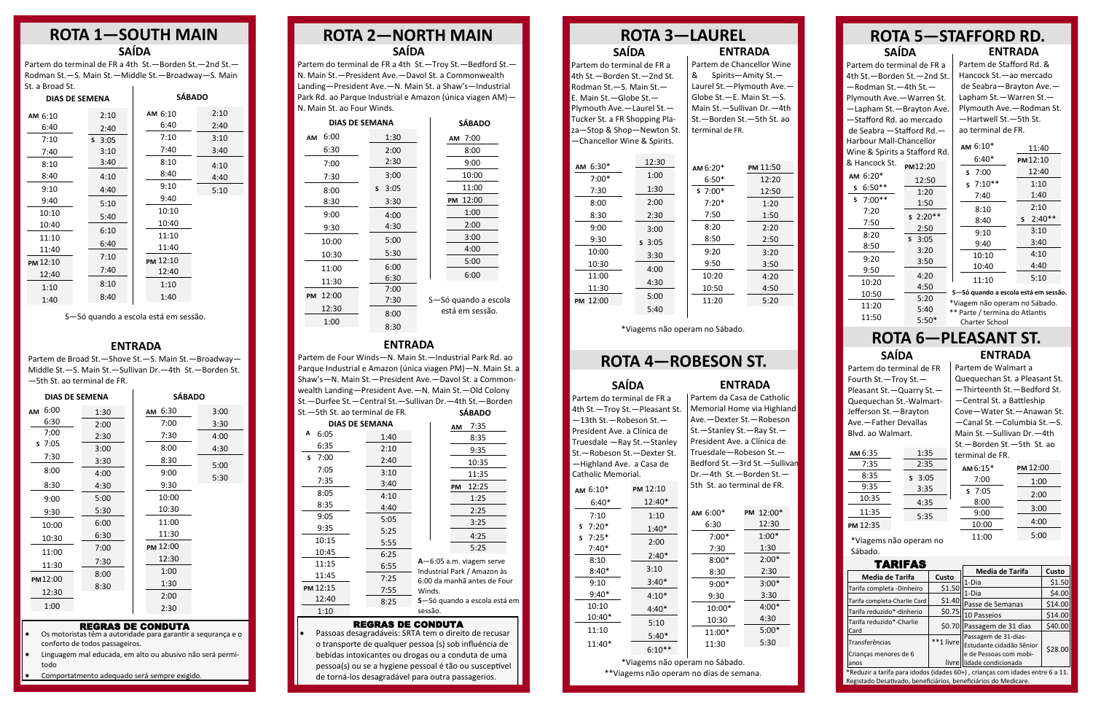## **ROTA 4—ROBESON ST.**

Partem de Chancellor Wine & Spirits—Amity St.— Laurel St.—Plymouth Ave.— Globe St.—E. Main St.—S. Main St.—Sullivan Dr.—4th St.—Borden St.—5th St. ao terminal de FR.

|       | <b>ROTA 3-LAUREL</b> |                |
|-------|----------------------|----------------|
| SAÍDA |                      | <b>ENTRADA</b> |

Partem do terminal de FR a 4th St.—Borden St.—2nd St. Rodman St.—S. Main St.— E. Main St.—Globe St.— Plymouth Ave.—Laurel St.— Tucker St. a FR Shopping Plaza—Stop & Shop—Newton St. —Chancellor Wine & Spirits.

### **ROTA 2—NORTH MAIN SAÍDA**

**SÁBADO** Partem de Four Winds—N. Main St.—Industrial Park Rd. ao Parque Industrial e Amazon (única viagen PM)—N. Main St. a Shaw's—N. Main St.—President Ave.—Davol St. a Commonwealth Landing—President Ave.—N. Main St.—Old Colony St.—Durfee St.—Central St.—Sullivan Dr.—4th St.—Borden St.—5th St. ao terminal de FR.

#### **ENTRADA**

Partem de Broad St.—Shove St.—S. Main St.—Broadway— Middle St.—S. Main St.—Sullivan Dr.—4th St.—Borden St. —5th St. ao terminal de FR.

Partem de Stafford Rd. & Hancock St.—ao mercado de Seabra—Brayton Ave.— Lapham St.—Warren St.— Plymouth Ave.—Rodman St. —Hartwell St.—5th St. ao terminal de FR.

#### **ENTRADA**

Partem do terminal de FR a 4th St.—Borden St.—2nd St.— Rodman St.—S. Main St.—Middle St.—Broadway—S. Main St. a Broad St.  $\mathbf{r}$ 

#### **ROTA 5—STAFFORD RD. ENTRADA SAÍDA**

### **ROTA 1—SOUTH MAIN SAÍDA**

Partem do terminal de FR a 4th St.—Troy St.—Bedford St.— N. Main St.—President Ave.—Davol St. a Commonwealth Landing—President Ave.—N. Main St. a Shaw's—Industrial Park Rd. ao Parque Industrial e Amazon (única viagen AM)— N. Main St. ao Four Winds.

> \*Reduzir a tarifa para idodos (idades 60+), crianças com idades entre 6 a 11. Registado Desativado, beneficiários, beneficiários do Medicare.

#### **SAÍDA**

| <b>DIAS DE SEMENA</b> |      | <b>SÁBADO</b> |      |
|-----------------------|------|---------------|------|
| 6:00<br>AM            | 1:30 | AM 6:30       | 3:00 |
| 6:30                  | 2:00 | 7:00          | 3:30 |
| 7:00                  | 2:30 | 7:30          | 4:00 |
| 57:05                 | 3:00 | 8:00          | 4:30 |
| 7:30                  | 3:30 | 8:30          | 5:00 |
| 8:00                  | 4:00 | 9:00          | 5:30 |
| 8:30                  | 4:30 | 9:30          |      |
| 9:00                  | 5:00 | 10:00         |      |
| 9:30                  | 5:30 | 10:30         |      |
| 10:00                 | 6:00 | 11:00         |      |
| 10:30                 | 6:30 | 11:30         |      |
| 11:00                 | 7:00 | PM 12:00      |      |
|                       | 7:30 | 12:30         |      |
| 11:30                 | 8:00 | 1:00          |      |
| PM12:00               | 8:30 | 1:30          |      |
| 12:30                 |      | 2:00          |      |
| 1:00                  |      | 2:30          |      |

| <b>DIAS DE SEMANA</b> |           | <b>SÁBADO</b>        |
|-----------------------|-----------|----------------------|
| 6:00<br>AM            | 1:30      | AM 7:00              |
| 6:30                  | 2:00      | 8:00                 |
| 7:00                  | 2:30      | 9:00                 |
| 7:30                  | 3:00      | 10:00                |
| 8:00                  | 3:05<br>S | 11:00                |
| 8:30                  | 3:30      | 12:00<br>PM          |
| 9:00                  | 4:00      | 1:00                 |
| 9:30                  | 4:30      | 2:00                 |
| 10:00                 | 5:00      | 3:00                 |
| 10:30                 | 5:30      | 4:00                 |
| 11:00                 | 6:00      | 5:00                 |
| 11:30                 | 6:30      | 6:00                 |
| 12:00<br><b>PM</b>    | 7:00      |                      |
|                       | 7:30      | S-Só quando a escola |
| 12:30                 | 8:00      | está em sessão.      |
| 1:00                  | 8:30      |                      |

| <b>DIAS DE SEMENA</b> |          | <b>SÁBADO</b> |      |  |
|-----------------------|----------|---------------|------|--|
| AM 6:10               | 2:10     | AM 6:10       | 2:10 |  |
| 6:40                  | 2:40     | 6:40          | 2:40 |  |
| 7:10                  | $S$ 3:05 | 7:10          | 3:10 |  |
| 7:40                  | 3:10     | 7:40          | 3:40 |  |
| 8:10                  | 3:40     | 8:10          | 4:10 |  |
| 8:40                  | 4:10     | 8:40          | 4:40 |  |
| 9:10                  | 4:40     | 9:10          | 5:10 |  |
| 9:40                  | 5:10     | 9:40          |      |  |
| 10:10                 | 5:40     | 10:10         |      |  |
| 10:40                 |          | 10:40         |      |  |
| 11:10                 | 6:10     | 11:10         |      |  |
| 11:40                 | 6:40     | 11:40         |      |  |
| PM 12:10              | 7:10     | PM 12:10      |      |  |
| 12:40                 | 7:40     | 12:40         |      |  |
| 1:10                  | 8:10     | 1:10          |      |  |
| 1:40                  | 8:40     | 1:40          |      |  |

| <b>DIAS DE SEMANA</b> |      | 7:35<br>AM                                                 |  |
|-----------------------|------|------------------------------------------------------------|--|
| Α<br>6:05             | 1:40 | 8:35                                                       |  |
| 6:35                  | 2:10 | 9:35                                                       |  |
| 7:00<br>S             | 2:40 | 10:35                                                      |  |
| 7:05                  | 3:10 | 11:35                                                      |  |
| 7:35                  | 3:40 | 12:25<br><b>PM</b>                                         |  |
| 8:05                  | 4:10 | 1:25                                                       |  |
| 8:35                  | 4:40 | 2:25                                                       |  |
| 9:05                  | 5:05 | 3:25                                                       |  |
| 9:35                  | 5:25 |                                                            |  |
| 10:15                 | 5:55 | 4:25                                                       |  |
| 10:45                 | 6:25 | 5:25                                                       |  |
| 11:15                 | 6:55 | A-6:05 a.m. viagem serve                                   |  |
| 11:45                 | 7:25 | Industrial Park / Amazon às<br>6:00 da manhã antes de Four |  |
| PM 12:15              | 7:55 | Winds.                                                     |  |
| 12:40                 | 8:25 | S-Só quando a escola está em                               |  |
| 1:10                  |      | sessão.                                                    |  |
|                       |      |                                                            |  |

\*Viagems não operam no Sábado. \*\*Viagems não operam no dias de semana.

**ENTRADA** Partem da Casa de Catholic Memorial Home via Highland

| $6:30*$<br><b>AM</b> | 12:30    | AM $6:20*$ | PM 11:50 |
|----------------------|----------|------------|----------|
| $7:00*$              | 1:00     | $6:50*$    | 12:20    |
| 7:30                 | 1:30     | $57:00*$   | 12:50    |
| 8:00                 | 2:00     | $7:20*$    | 1:20     |
| 8:30                 | 2:30     | 7:50       | 1:50     |
| 9:00                 | 3:00     | 8:20       | 2:20     |
| 9:30                 | $S$ 3:05 | 8:50       | 2:50     |
| 10:00                | 3:30     | 9:20       | 3:20     |
| 10:30                | 4:00     | 9:50       | 3:50     |
| 11:00                |          | 10:20      | 4:20     |
| 11:30                | 4:30     | 10:50      | 4:50     |
| PM 12:00             | 5:00     | 11:20      | 5:20     |
|                      | 5:40     |            |          |

| Ave.—Dexter St.—Robeson      |  |  |
|------------------------------|--|--|
| St.-Stanley St.-Ray St.-     |  |  |
| President Ave. a Clínica de  |  |  |
| Truesdale-Robeson St.-       |  |  |
| Bedford St.-3rd St.-Sullivan |  |  |
| Dr.-4th St.-Borden St.-      |  |  |
| 5th St. ao terminal de FR.   |  |  |

 6:20\* **AM** Partem do terminal de FR a 4th St.—Borden St.—2nd St. —Rodman St.—4th St.— Plymouth Ave.—Warren St. —Lapham St.—Brayton Ave. —Stafford Rd. ao mercado de Seabra —Stafford Rd.— Harbour Mall-Chancellor Wine & Han 12:20 12:50 **PM**

\*Viagems não operam no Sábado.

#### REGRAS DE CONDUTA

Partem do terminal de FR a 4th St.—Troy St.—Pleasant St. —13th St.—Robeson St.— President Ave. a Clínica de Truesdale —Ray St.—Stanley St.—Robeson St.—Dexter St. —Highland Ave. a Casa de Catholic Memorial. PM 12:10  $12.40*$  1:10 1:40\* 2:00 2:40\* 3:10 **AM**  $6:10*$  6:40\* 7:10 7:20\* **S** 7:25\* **S** 7:40\* 8:10 8:40\* 9:10

- Os motoristas têm a autoridade para garantir a sequrança e o conforto de todos passageiros.
- Linguagem mal educada, em alto ou abusivo não será permitodo
- Comportatmento adequado será sempre exigido.

| Nine & Spirits a Stafford Rd. |                           | AMIU. LU                |
|-------------------------------|---------------------------|-------------------------|
| & Hancock St.                 |                           | $6:40*$<br>PN           |
| AM 6:20*                      | PM12:20                   | $S$ 7:00                |
|                               | 12:50                     | $57:10**$               |
| $s$ 6:50**                    | 1:20                      | 7:40                    |
| $5\ 7:00**$                   | 1:50                      |                         |
| 7:20                          | $s$ 2:20**                | 8:10                    |
| 7:50                          |                           | S<br>8:40               |
| 8:20                          | 2:50                      | 9:10                    |
| 8:50                          | S.<br>3:05                | 9:40                    |
|                               | 3:20                      | 10:10                   |
| 9:20                          | 3:50                      | 10:40                   |
| 9:50                          | 4:20                      |                         |
| 10:20                         | 4:50                      | 11:10                   |
| 10:50                         | 5:20                      | S-Só quando a escola e  |
| 11:20                         |                           | *Viagem não operam n    |
| 11:50                         | 5:40<br>E. E <sub>0</sub> | ** Parte / termina do A |
|                               |                           |                         |

#### REGRAS DE CONDUTA

| 12.4U    |          |           |
|----------|----------|-----------|
| 1:10     | AM 6:00* | PM 12:00* |
| $1:40*$  | 6:30     | 12:30     |
|          | $7:00*$  | $1:00*$   |
| 2:00     | 7:30     | 1:30      |
| $2:40*$  | $8:00*$  | $2:00*$   |
| 3:10     | 8:30     | 2:30      |
| $3:40*$  | $9:00*$  | $3:00*$   |
| $4:10*$  | 9:30     | 3:30      |
| $4:40*$  | 10:00*   | 4:00*     |
| 5:10     | 10:30    | 4:30      |
| $5:40*$  | 11:00*   | $5:00*$   |
|          | 11:30    | 5:30      |
| $6:10**$ |          |           |

 Passoas desagradáveis: SRTA tem o direito de recusar o transporte de qualquer pessoa (s) sob influéncia de bebidas intoxicantes ou drogas ou a conduta de uma pessoa(s) ou se a hygiene pessoal é tão ou susceptível de torná-los desagradável para outra passagerios.

| erililidi ue Fr. |          |
|------------------|----------|
| AM $6:15*$       | PM 12:00 |
| 7:00             | 1:00     |
| $S$ 7:05         | 2:00     |
| 8:00             |          |
| 9:00             | 3:00     |
| 10:00            | 4:00     |
| 11:00            | 5:00     |

| TARIFAS                      |        |                                    |         |
|------------------------------|--------|------------------------------------|---------|
|                              |        | Media de Tarifa                    | Custo   |
| Media de Tarifa              | Custo  | 1-Dia                              | \$1.50  |
| Tarifa completa -Dinheiro    | \$1.50 |                                    |         |
|                              |        | 1-Dia                              | \$4.00  |
| Tarifa completa-Charlie Card | \$1.40 | Passe de Semanas                   | \$14.00 |
| Tarifa reduzido*-dinherio    | \$0.75 | 10 Passeios                        | \$14.00 |
| Tarifa reduzido*-Charlie     |        |                                    |         |
| Card                         |        | \$0.70 Passagem de 31 dias         | \$40.00 |
|                              |        | Passagem de 31-dias-               |         |
| Transferências               |        | **1 livre Estudante cidadão Sênior |         |
| Crianças menores de 6        |        | e de Pessoas com mobi-             | \$28.00 |
| anos                         | livre  | lidade condicionada                |         |

#### **ROTA 6—PLEASANT ST. ENTRADA SAÍDA**

 9:40\* 10:10 10:40\* 11:10 11:40\*

5:50\*

| 11:40          |
|----------------|
| PM 12:10       |
| 12:40          |
| 1:10           |
| 1:40           |
| 2:10           |
| $2:40**$<br>S. |
| 3:10           |
| 3:40           |
| 4:10           |
|                |
| 4:40           |
|                |

| AM <sub>6:35</sub> | 1:35     |
|--------------------|----------|
| 7:35               | 2:35     |
| 8:35               | $S$ 3:05 |
| 9:35               | 3:35     |
| 10:35              | 4:35     |
| 11:35              | 5:35     |
| PM 12:35           |          |

S—Só quando a escola está em sessão.

\*Viagems não operam no Sábado.

Partem de Walmart a Quequechan St. a Pleasant St. —Thirteenth St.—Bedford St. —Central St. a Battleship Cove—Water St.—Anawan St. —Canal St.—Columbia St.—S. Main St.—Sullivan Dr.—4th St.—Borden St.—5th St. ao terminal de FR.

Partem do terminal de FR Fourth St.—Troy St.— Pleasant St.—Quarry St.— Quequechan St.-Walmart-Jefferson St.—Brayton Ave.—Father Devallas Blvd. ao Walmart.

**S—Só quando a escola está em sessão.** m não operam no Sábado. : / termina do Atlantis Charter School